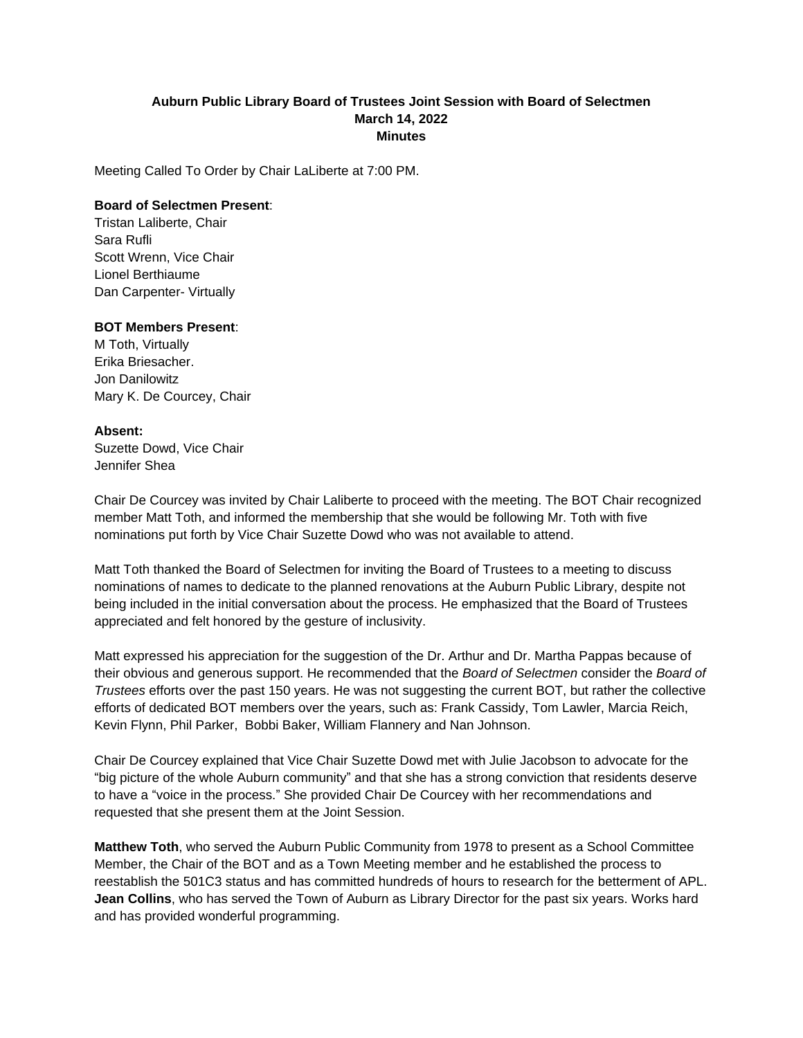## **Auburn Public Library Board of Trustees Joint Session with Board of Selectmen March 14, 2022 Minutes**

Meeting Called To Order by Chair LaLiberte at 7:00 PM.

## **Board of Selectmen Present**:

Tristan Laliberte, Chair Sara Rufli Scott Wrenn, Vice Chair Lionel Berthiaume Dan Carpenter- Virtually

## **BOT Members Present**:

M Toth, Virtually Erika Briesacher. Jon Danilowitz Mary K. De Courcey, Chair

## **Absent:**

Suzette Dowd, Vice Chair Jennifer Shea

Chair De Courcey was invited by Chair Laliberte to proceed with the meeting. The BOT Chair recognized member Matt Toth, and informed the membership that she would be following Mr. Toth with five nominations put forth by Vice Chair Suzette Dowd who was not available to attend.

Matt Toth thanked the Board of Selectmen for inviting the Board of Trustees to a meeting to discuss nominations of names to dedicate to the planned renovations at the Auburn Public Library, despite not being included in the initial conversation about the process. He emphasized that the Board of Trustees appreciated and felt honored by the gesture of inclusivity.

Matt expressed his appreciation for the suggestion of the Dr. Arthur and Dr. Martha Pappas because of their obvious and generous support. He recommended that the *Board of Selectmen* consider the *Board of Trustees* efforts over the past 150 years. He was not suggesting the current BOT, but rather the collective efforts of dedicated BOT members over the years, such as: Frank Cassidy, Tom Lawler, Marcia Reich, Kevin Flynn, Phil Parker, Bobbi Baker, William Flannery and Nan Johnson.

Chair De Courcey explained that Vice Chair Suzette Dowd met with Julie Jacobson to advocate for the "big picture of the whole Auburn community" and that she has a strong conviction that residents deserve to have a "voice in the process." She provided Chair De Courcey with her recommendations and requested that she present them at the Joint Session.

**Matthew Toth**, who served the Auburn Public Community from 1978 to present as a School Committee Member, the Chair of the BOT and as a Town Meeting member and he established the process to reestablish the 501C3 status and has committed hundreds of hours to research for the betterment of APL. **Jean Collins**, who has served the Town of Auburn as Library Director for the past six years. Works hard and has provided wonderful programming.